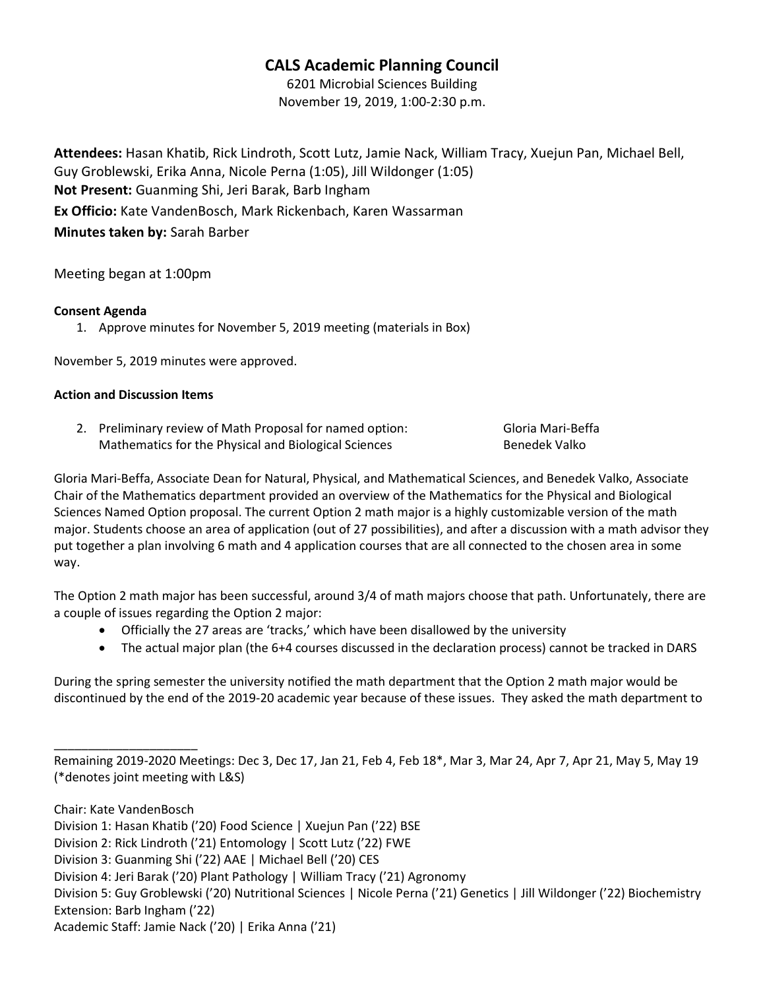# CALS Academic Planning Council

6201 Microbial Sciences Building November 19, 2019, 1:00-2:30 p.m.

Attendees: Hasan Khatib, Rick Lindroth, Scott Lutz, Jamie Nack, William Tracy, Xuejun Pan, Michael Bell, Guy Groblewski, Erika Anna, Nicole Perna (1:05), Jill Wildonger (1:05) Not Present: Guanming Shi, Jeri Barak, Barb Ingham Ex Officio: Kate VandenBosch, Mark Rickenbach, Karen Wassarman Minutes taken by: Sarah Barber

Meeting began at 1:00pm

#### Consent Agenda

1. Approve minutes for November 5, 2019 meeting (materials in Box)

November 5, 2019 minutes were approved.

#### Action and Discussion Items

2. Preliminary review of Math Proposal for named option: Gloria Mari-Beffa Mathematics for the Physical and Biological Sciences **Benedek Valko** 

Gloria Mari-Beffa, Associate Dean for Natural, Physical, and Mathematical Sciences, and Benedek Valko, Associate Chair of the Mathematics department provided an overview of the Mathematics for the Physical and Biological Sciences Named Option proposal. The current Option 2 math major is a highly customizable version of the math major. Students choose an area of application (out of 27 possibilities), and after a discussion with a math advisor they put together a plan involving 6 math and 4 application courses that are all connected to the chosen area in some way.

The Option 2 math major has been successful, around 3/4 of math majors choose that path. Unfortunately, there are a couple of issues regarding the Option 2 major:

- Officially the 27 areas are 'tracks,' which have been disallowed by the university
- The actual major plan (the 6+4 courses discussed in the declaration process) cannot be tracked in DARS

During the spring semester the university notified the math department that the Option 2 math major would be discontinued by the end of the 2019-20 academic year because of these issues. They asked the math department to

\_\_\_\_\_\_\_\_\_\_\_\_\_\_\_\_\_\_\_\_\_

Remaining 2019-2020 Meetings: Dec 3, Dec 17, Jan 21, Feb 4, Feb 18\*, Mar 3, Mar 24, Apr 7, Apr 21, May 5, May 19 (\*denotes joint meeting with L&S)

Chair: Kate VandenBosch

Division 1: Hasan Khatib ('20) Food Science | Xuejun Pan ('22) BSE

Division 2: Rick Lindroth ('21) Entomology | Scott Lutz ('22) FWE

Division 3: Guanming Shi ('22) AAE | Michael Bell ('20) CES

Division 4: Jeri Barak ('20) Plant Pathology | William Tracy ('21) Agronomy

Division 5: Guy Groblewski ('20) Nutritional Sciences | Nicole Perna ('21) Genetics | Jill Wildonger ('22) Biochemistry Extension: Barb Ingham ('22)

Academic Staff: Jamie Nack ('20) | Erika Anna ('21)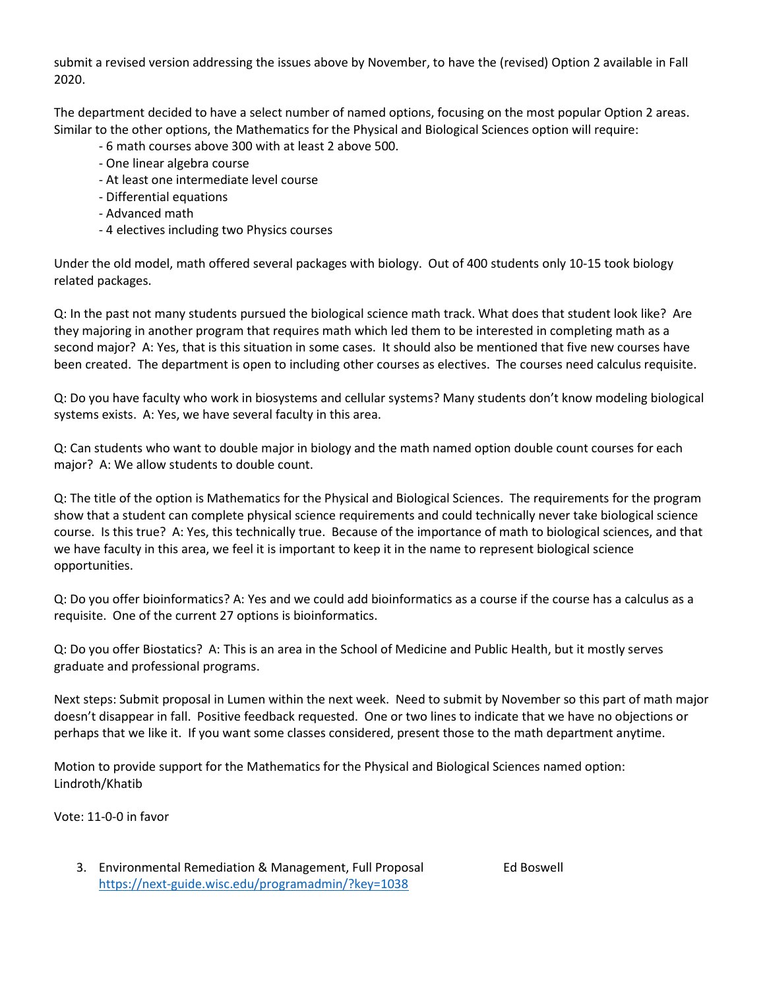submit a revised version addressing the issues above by November, to have the (revised) Option 2 available in Fall 2020.

The department decided to have a select number of named options, focusing on the most popular Option 2 areas. Similar to the other options, the Mathematics for the Physical and Biological Sciences option will require:

- 6 math courses above 300 with at least 2 above 500.
- One linear algebra course
- At least one intermediate level course
- Differential equations
- Advanced math
- 4 electives including two Physics courses

Under the old model, math offered several packages with biology. Out of 400 students only 10-15 took biology related packages.

Q: In the past not many students pursued the biological science math track. What does that student look like? Are they majoring in another program that requires math which led them to be interested in completing math as a second major? A: Yes, that is this situation in some cases. It should also be mentioned that five new courses have been created. The department is open to including other courses as electives. The courses need calculus requisite.

Q: Do you have faculty who work in biosystems and cellular systems? Many students don't know modeling biological systems exists. A: Yes, we have several faculty in this area.

Q: Can students who want to double major in biology and the math named option double count courses for each major? A: We allow students to double count.

Q: The title of the option is Mathematics for the Physical and Biological Sciences. The requirements for the program show that a student can complete physical science requirements and could technically never take biological science course. Is this true? A: Yes, this technically true. Because of the importance of math to biological sciences, and that we have faculty in this area, we feel it is important to keep it in the name to represent biological science opportunities.

Q: Do you offer bioinformatics? A: Yes and we could add bioinformatics as a course if the course has a calculus as a requisite. One of the current 27 options is bioinformatics.

Q: Do you offer Biostatics? A: This is an area in the School of Medicine and Public Health, but it mostly serves graduate and professional programs.

Next steps: Submit proposal in Lumen within the next week. Need to submit by November so this part of math major doesn't disappear in fall. Positive feedback requested. One or two lines to indicate that we have no objections or perhaps that we like it. If you want some classes considered, present those to the math department anytime.

Motion to provide support for the Mathematics for the Physical and Biological Sciences named option: Lindroth/Khatib

Vote: 11-0-0 in favor

3. Environmental Remediation & Management, Full Proposal Ed Boswell https://next-guide.wisc.edu/programadmin/?key=1038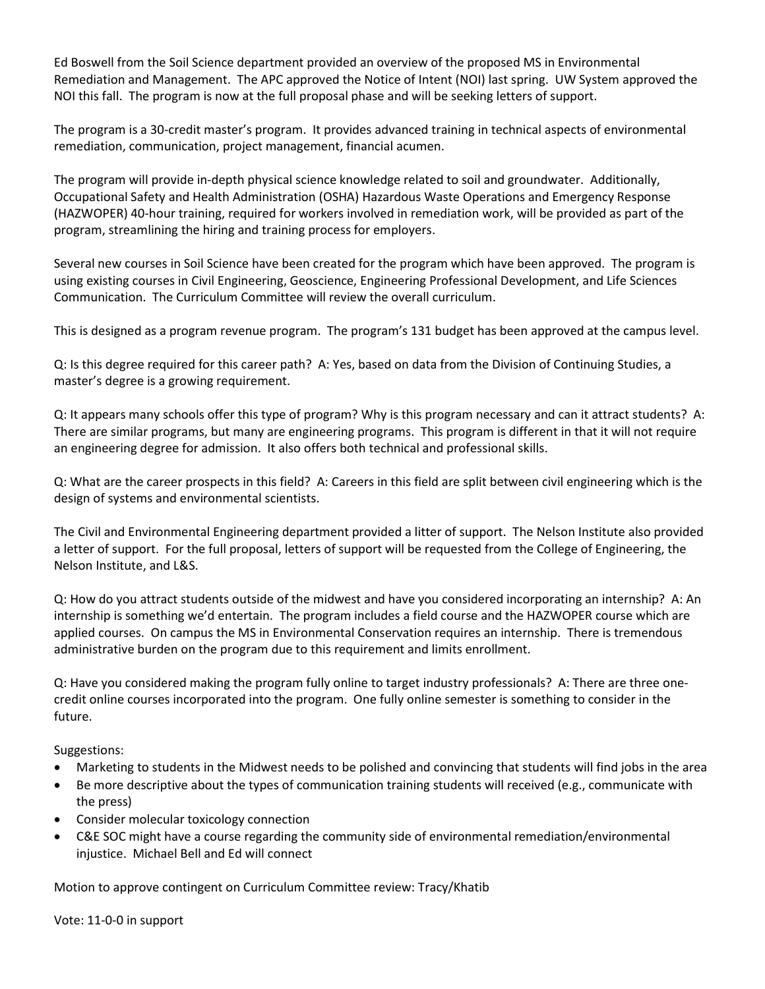Ed Boswell from the Soil Science department provided an overview of the proposed MS in Environmental Remediation and Management. The APC approved the Notice of Intent (NOI) last spring. UW System approved the NOI this fall. The program is now at the full proposal phase and will be seeking letters of support.

The program is a 30-credit master's program. It provides advanced training in technical aspects of environmental remediation, communication, project management, financial acumen.

The program will provide in-depth physical science knowledge related to soil and groundwater. Additionally, Occupational Safety and Health Administration (OSHA) Hazardous Waste Operations and Emergency Response (HAZWOPER) 40-hour training, required for workers involved in remediation work, will be provided as part of the program, streamlining the hiring and training process for employers.

Several new courses in Soil Science have been created for the program which have been approved. The program is using existing courses in Civil Engineering, Geoscience, Engineering Professional Development, and Life Sciences Communication. The Curriculum Committee will review the overall curriculum.

This is designed as a program revenue program. The program's 131 budget has been approved at the campus level.

Q: Is this degree required for this career path? A: Yes, based on data from the Division of Continuing Studies, a master's degree is a growing requirement.

Q: It appears many schools offer this type of program? Why is this program necessary and can it attract students? A: There are similar programs, but many are engineering programs. This program is different in that it will not require an engineering degree for admission. It also offers both technical and professional skills.

Q: What are the career prospects in this field? A: Careers in this field are split between civil engineering which is the design of systems and environmental scientists.

The Civil and Environmental Engineering department provided a litter of support. The Nelson Institute also provided a letter of support. For the full proposal, letters of support will be requested from the College of Engineering, the Nelson Institute, and L&S.

Q: How do you attract students outside of the midwest and have you considered incorporating an internship? A: An internship is something we'd entertain. The program includes a field course and the HAZWOPER course which are applied courses. On campus the MS in Environmental Conservation requires an internship. There is tremendous administrative burden on the program due to this requirement and limits enrollment.

Q: Have you considered making the program fully online to target industry professionals? A: There are three onecredit online courses incorporated into the program. One fully online semester is something to consider in the future.

Suggestions:

- Marketing to students in the Midwest needs to be polished and convincing that students will find jobs in the area
- Be more descriptive about the types of communication training students will received (e.g., communicate with the press)
- Consider molecular toxicology connection
- C&E SOC might have a course regarding the community side of environmental remediation/environmental injustice. Michael Bell and Ed will connect

Motion to approve contingent on Curriculum Committee review: Tracy/Khatib

Vote: 11-0-0 in support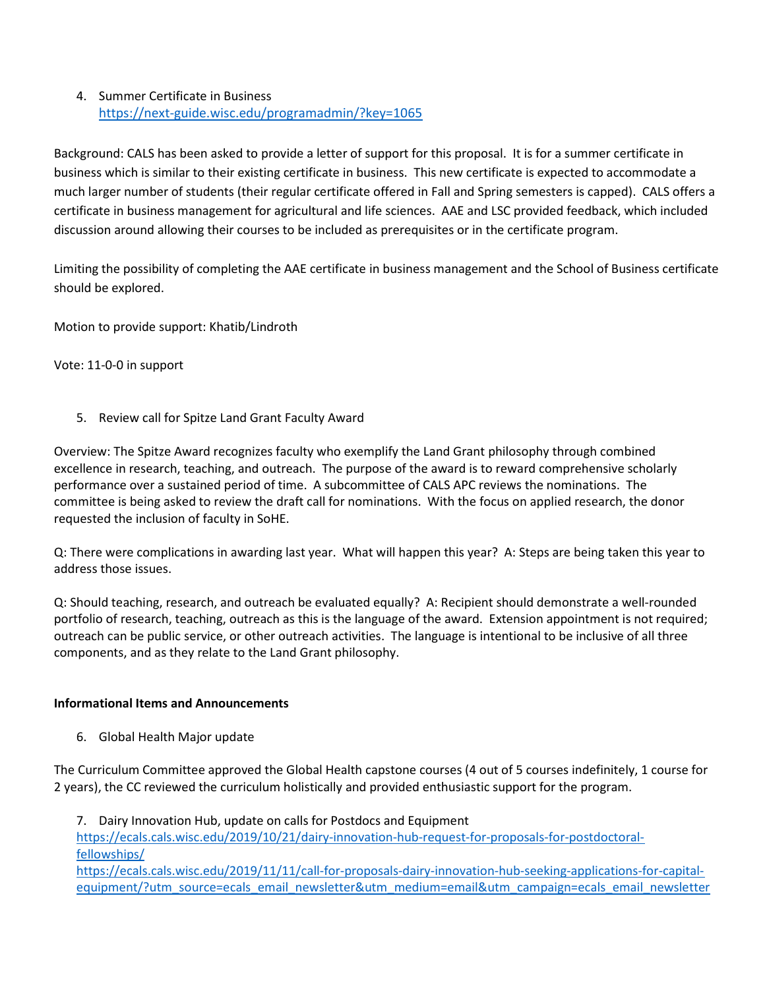## 4. Summer Certificate in Business https://next-guide.wisc.edu/programadmin/?key=1065

Background: CALS has been asked to provide a letter of support for this proposal. It is for a summer certificate in business which is similar to their existing certificate in business. This new certificate is expected to accommodate a much larger number of students (their regular certificate offered in Fall and Spring semesters is capped). CALS offers a certificate in business management for agricultural and life sciences. AAE and LSC provided feedback, which included discussion around allowing their courses to be included as prerequisites or in the certificate program.

Limiting the possibility of completing the AAE certificate in business management and the School of Business certificate should be explored.

Motion to provide support: Khatib/Lindroth

Vote: 11-0-0 in support

5. Review call for Spitze Land Grant Faculty Award

Overview: The Spitze Award recognizes faculty who exemplify the Land Grant philosophy through combined excellence in research, teaching, and outreach. The purpose of the award is to reward comprehensive scholarly performance over a sustained period of time. A subcommittee of CALS APC reviews the nominations. The committee is being asked to review the draft call for nominations. With the focus on applied research, the donor requested the inclusion of faculty in SoHE.

Q: There were complications in awarding last year. What will happen this year? A: Steps are being taken this year to address those issues.

Q: Should teaching, research, and outreach be evaluated equally? A: Recipient should demonstrate a well-rounded portfolio of research, teaching, outreach as this is the language of the award. Extension appointment is not required; outreach can be public service, or other outreach activities. The language is intentional to be inclusive of all three components, and as they relate to the Land Grant philosophy.

### Informational Items and Announcements

6. Global Health Major update

The Curriculum Committee approved the Global Health capstone courses (4 out of 5 courses indefinitely, 1 course for 2 years), the CC reviewed the curriculum holistically and provided enthusiastic support for the program.

7. Dairy Innovation Hub, update on calls for Postdocs and Equipment https://ecals.cals.wisc.edu/2019/10/21/dairy-innovation-hub-request-for-proposals-for-postdoctoralfellowships/ https://ecals.cals.wisc.edu/2019/11/11/call-for-proposals-dairy-innovation-hub-seeking-applications-for-capitalequipment/?utm\_source=ecals\_email\_newsletter&utm\_medium=email&utm\_campaign=ecals\_email\_newsletter